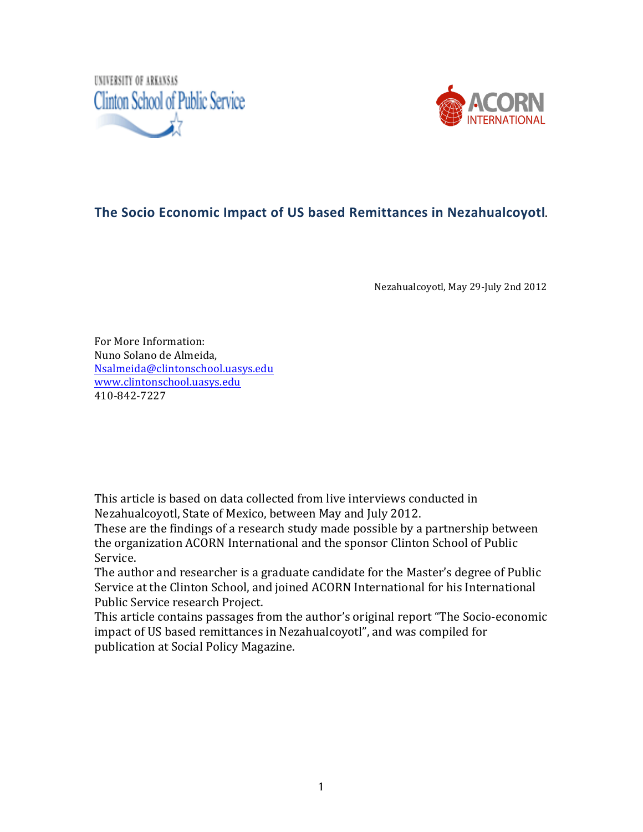



#### **The Socio Economic Impact of US based Remittances in Nezahualcoyotl.**

Nezahualcoyotl, May 29-July 2nd 2012

For More Information: Nuno Solano de Almeida, Nsalmeida@clintonschool.uasys.edu www.clintonschool.uasys.edu 410384237227

This article is based on data collected from live interviews conducted in Nezahualcoyotl, State of Mexico, between May and July 2012.

These are the findings of a research study made possible by a partnership between the organization ACORN International and the sponsor Clinton School of Public Service.

The author and researcher is a graduate candidate for the Master's degree of Public Service at the Clinton School, and joined ACORN International for his International Public Service research Project.

This article contains passages from the author's original report "The Socio-economic impact of US based remittances in Nezahualcoyotl", and was compiled for publication at Social Policy Magazine.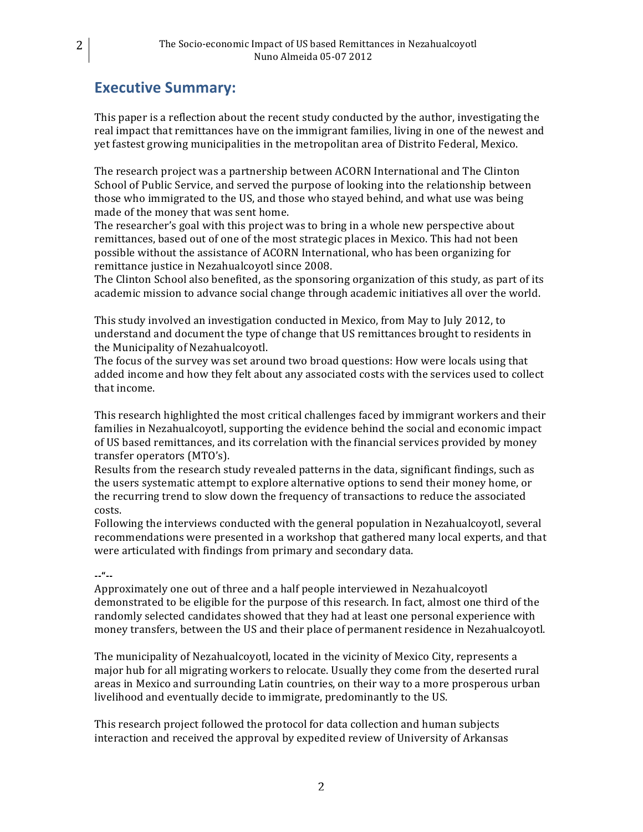## **Executive Summary:**

This paper is a reflection about the recent study conducted by the author, investigating the real impact that remittances have on the immigrant families, living in one of the newest and yet fastest growing municipalities in the metropolitan area of Distrito Federal, Mexico.

The research project was a partnership between ACORN International and The Clinton School of Public Service, and served the purpose of looking into the relationship between those who immigrated to the US, and those who stayed behind, and what use was being made of the money that was sent home.

The researcher's goal with this project was to bring in a whole new perspective about remittances, based out of one of the most strategic places in Mexico. This had not been possible without the assistance of ACORN International, who has been organizing for remittance justice in Nezahualcoyotl since 2008.

The Clinton School also benefited, as the sponsoring organization of this study, as part of its academic mission to advance social change through academic initiatives all over the world.

This study involved an investigation conducted in Mexico, from May to July 2012, to understand and document the type of change that US remittances brought to residents in the Municipality of Nezahualcoyotl.

The focus of the survey was set around two broad questions: How were locals using that added income and how they felt about any associated costs with the services used to collect that income.

This research highlighted the most critical challenges faced by immigrant workers and their families in Nezahualcoyotl, supporting the evidence behind the social and economic impact of US based remittances, and its correlation with the financial services provided by money transfer operators (MTO's).

Results from the research study revealed patterns in the data, significant findings, such as the users systematic attempt to explore alternative options to send their money home, or the recurring trend to slow down the frequency of transactions to reduce the associated costs.

Following the interviews conducted with the general population in Nezahualcoyotl, several recommendations were presented in a workshop that gathered many local experts, and that were articulated with findings from primary and secondary data.

#### **"""""**

Approximately one out of three and a half people interviewed in Nezahualcoyotl demonstrated to be eligible for the purpose of this research. In fact, almost one third of the randomly selected candidates showed that they had at least one personal experience with money transfers, between the US and their place of permanent residence in Nezahualcoyotl.

The municipality of Nezahualcoyotl, located in the vicinity of Mexico City, represents a major hub for all migrating workers to relocate. Usually they come from the deserted rural areas in Mexico and surrounding Latin countries, on their way to a more prosperous urban livelihood and eventually decide to immigrate, predominantly to the US.

This research project followed the protocol for data collection and human subjects interaction and received the approval by expedited review of University of Arkansas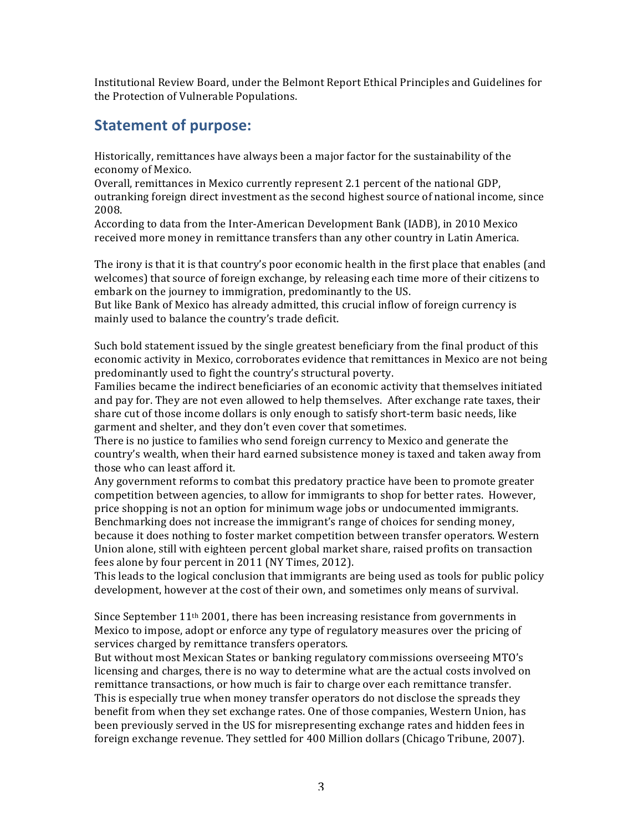Institutional Review Board, under the Belmont Report Ethical Principles and Guidelines for the Protection of Vulnerable Populations.

#### **Statement of purpose:**

Historically, remittances have always been a major factor for the sustainability of the economy of Mexico.

Overall, remittances in Mexico currently represent 2.1 percent of the national GDP, outranking foreign direct investment as the second highest source of national income, since 2008.

According to data from the Inter-American Development Bank (IADB), in 2010 Mexico received more money in remittance transfers than any other country in Latin America.

The irony is that it is that country's poor economic health in the first place that enables (and welcomes) that source of foreign exchange, by releasing each time more of their citizens to embark on the journey to immigration, predominantly to the US.

But like Bank of Mexico has already admitted, this crucial inflow of foreign currency is mainly used to balance the country's trade deficit.

Such bold statement issued by the single greatest beneficiary from the final product of this economic activity in Mexico, corroborates evidence that remittances in Mexico are not being predominantly used to fight the country's structural poverty.

Families became the indirect beneficiaries of an economic activity that themselves initiated and pay for. They are not even allowed to help themselves. After exchange rate taxes, their share cut of those income dollars is only enough to satisfy short-term basic needs, like garment and shelter, and they don't even cover that sometimes.

There is no justice to families who send foreign currency to Mexico and generate the country's wealth, when their hard earned subsistence money is taxed and taken away from those who can least afford it.

Any government reforms to combat this predatory practice have been to promote greater competition between agencies, to allow for immigrants to shop for better rates. However, price shopping is not an option for minimum wage jobs or undocumented immigrants. Benchmarking does not increase the immigrant's range of choices for sending money, because it does nothing to foster market competition between transfer operators. Western Union alone, still with eighteen percent global market share, raised profits on transaction fees alone by four percent in 2011 (NY Times, 2012).

This leads to the logical conclusion that immigrants are being used as tools for public policy development, however at the cost of their own, and sometimes only means of survival.

Since September  $11<sup>th</sup> 2001$ , there has been increasing resistance from governments in Mexico to impose, adopt or enforce any type of regulatory measures over the pricing of services charged by remittance transfers operators.

But without most Mexican States or banking regulatory commissions overseeing MTO's licensing and charges, there is no way to determine what are the actual costs involved on remittance transactions, or how much is fair to charge over each remittance transfer. This is especially true when money transfer operators do not disclose the spreads they benefit from when they set exchange rates. One of those companies, Western Union, has been previously served in the US for misrepresenting exchange rates and hidden fees in foreign exchange revenue. They settled for 400 Million dollars (Chicago Tribune, 2007).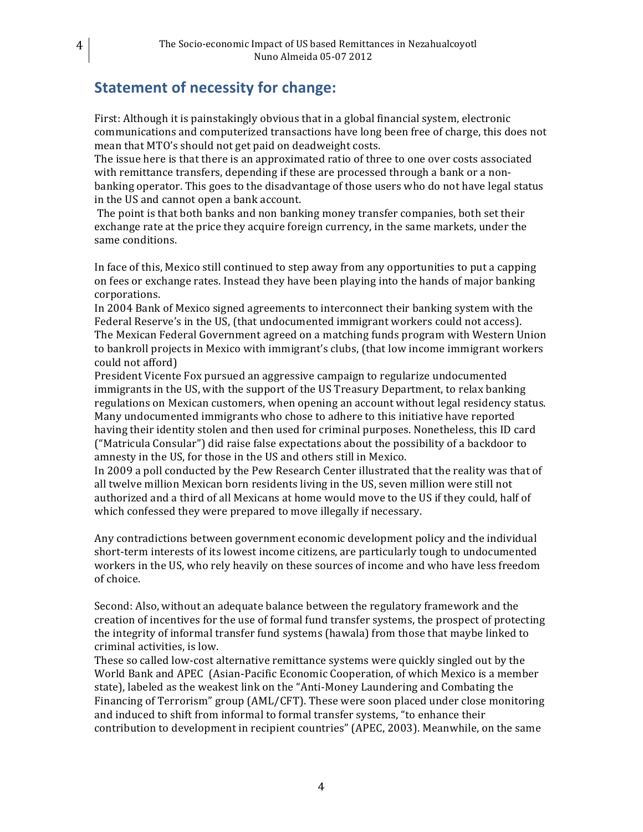## **Statement of necessity for change:**

First: Although it is painstakingly obvious that in a global financial system, electronic communications and computerized transactions have long been free of charge, this does not mean that MTO's should not get paid on deadweight costs.

The issue here is that there is an approximated ratio of three to one over costs associated with remittance transfers, depending if these are processed through a bank or a nonbanking operator. This goes to the disadvantage of those users who do not have legal status in the US and cannot open a bank account.

The point is that both banks and non banking money transfer companies, both set their exchange rate at the price they acquire foreign currency, in the same markets, under the same conditions.

In face of this, Mexico still continued to step away from any opportunities to put a capping on fees or exchange rates. Instead they have been playing into the hands of major banking corporations.

In 2004 Bank of Mexico signed agreements to interconnect their banking system with the Federal Reserve's in the US, (that undocumented immigrant workers could not access). The Mexican Federal Government agreed on a matching funds program with Western Union to bankroll projects in Mexico with immigrant's clubs, (that low income immigrant workers could not afford)

President Vicente Fox pursued an aggressive campaign to regularize undocumented immigrants in the US, with the support of the US Treasury Department, to relax banking regulations on Mexican customers, when opening an account without legal residency status. Many undocumented immigrants who chose to adhere to this initiative have reported having their identity stolen and then used for criminal purposes. Nonetheless, this ID card ("Matricula Consular") did raise false expectations about the possibility of a backdoor to amnesty in the US, for those in the US and others still in Mexico.

In 2009 a poll conducted by the Pew Research Center illustrated that the reality was that of all twelve million Mexican born residents living in the US, seven million were still not authorized and a third of all Mexicans at home would move to the US if they could, half of which confessed they were prepared to move illegally if necessary.

Any contradictions between government economic development policy and the individual short-term interests of its lowest income citizens, are particularly tough to undocumented workers in the US, who rely heavily on these sources of income and who have less freedom of choice.

Second: Also, without an adequate balance between the regulatory framework and the creation of incentives for the use of formal fund transfer systems, the prospect of protecting the integrity of informal transfer fund systems (hawala) from those that maybe linked to criminal activities, is low.

These so called low-cost alternative remittance systems were quickly singled out by the World Bank and APEC (Asian-Pacific Economic Cooperation, of which Mexico is a member state), labeled as the weakest link on the "Anti-Money Laundering and Combating the Financing of Terrorism" group (AML/CFT). These were soon placed under close monitoring and induced to shift from informal to formal transfer systems, "to enhance their contribution to development in recipient countries" (APEC, 2003). Meanwhile, on the same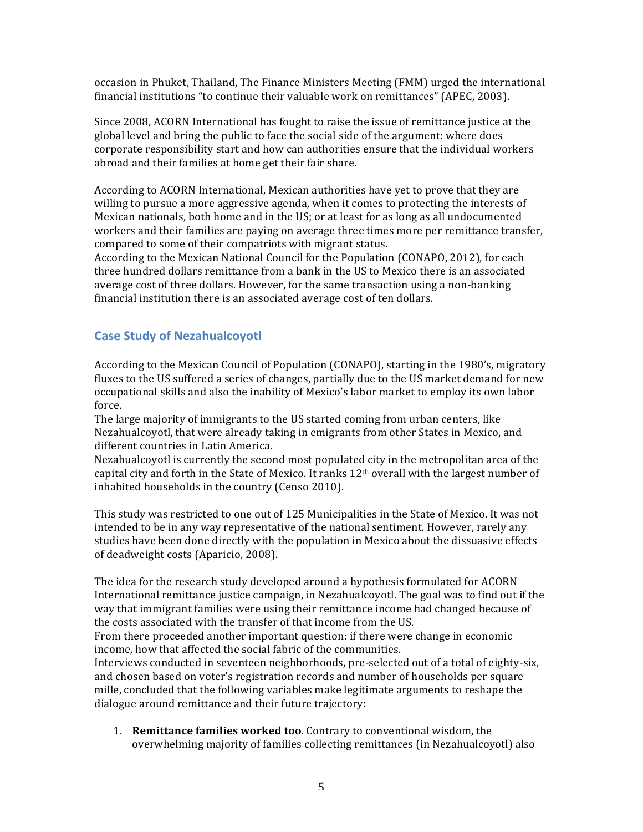occasion in Phuket, Thailand, The Finance Ministers Meeting (FMM) urged the international financial institutions "to continue their valuable work on remittances" (APEC, 2003).

Since 2008, ACORN International has fought to raise the issue of remittance justice at the global level and bring the public to face the social side of the argument: where does corporate responsibility start and how can authorities ensure that the individual workers abroad and their families at home get their fair share.

According to ACORN International, Mexican authorities have yet to prove that they are willing to pursue a more aggressive agenda, when it comes to protecting the interests of Mexican nationals, both home and in the US; or at least for as long as all undocumented workers and their families are paying on average three times more per remittance transfer, compared to some of their compatriots with migrant status.

According to the Mexican National Council for the Population (CONAPO, 2012), for each three hundred dollars remittance from a bank in the US to Mexico there is an associated average cost of three dollars. However, for the same transaction using a non-banking financial institution there is an associated average cost of ten dollars.

#### **Case Study of Nezahualcoyotl**

According to the Mexican Council of Population (CONAPO), starting in the 1980's, migratory fluxes to the US suffered a series of changes, partially due to the US market demand for new occupational skills and also the inability of Mexico's labor market to employ its own labor force.

The large majority of immigrants to the US started coming from urban centers, like Nezahualcoyotl, that were already taking in emigrants from other States in Mexico, and different countries in Latin America.

Nezahualcoyotl is currently the second most populated city in the metropolitan area of the capital city and forth in the State of Mexico. It ranks 12<sup>th</sup> overall with the largest number of inhabited households in the country (Censo 2010).

This study was restricted to one out of 125 Municipalities in the State of Mexico. It was not intended to be in any way representative of the national sentiment. However, rarely any studies have been done directly with the population in Mexico about the dissuasive effects of deadweight costs (Aparicio, 2008).

The idea for the research study developed around a hypothesis formulated for ACORN International remittance justice campaign, in Nezahualcoyotl. The goal was to find out if the way that immigrant families were using their remittance income had changed because of the costs associated with the transfer of that income from the US.

From there proceeded another important question: if there were change in economic income, how that affected the social fabric of the communities.

Interviews conducted in seventeen neighborhoods, pre-selected out of a total of eighty-six, and chosen based on voter's registration records and number of households per square mille, concluded that the following variables make legitimate arguments to reshape the dialogue around remittance and their future trajectory:

1. **Remittance families worked too**. Contrary to conventional wisdom, the overwhelming majority of families collecting remittances (in Nezahualcoyotl) also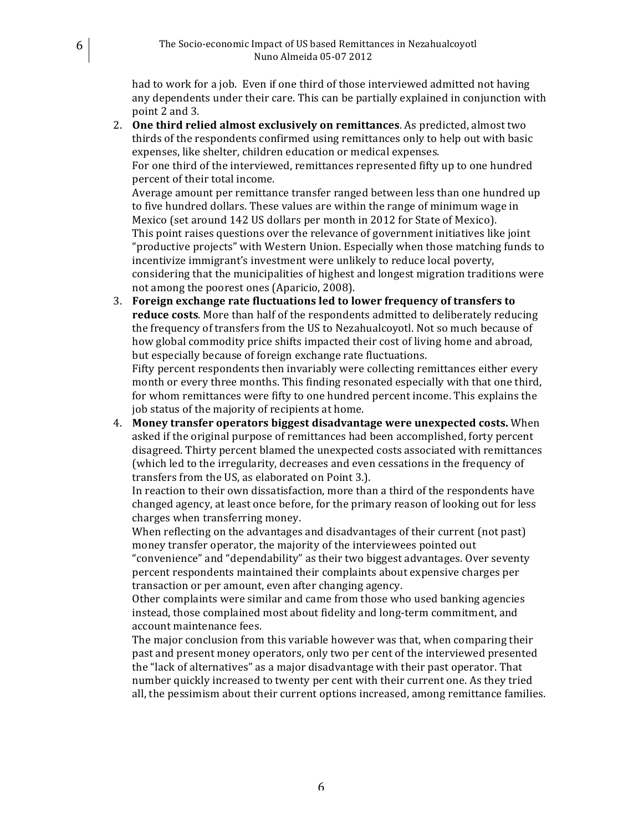had to work for a job. Even if one third of those interviewed admitted not having any dependents under their care. This can be partially explained in conjunction with point 2 and 3.

2. **One third relied almost exclusively on remittances**. As predicted, almost two thirds of the respondents confirmed using remittances only to help out with basic expenses, like shelter, children education or medical expenses. For one third of the interviewed, remittances represented fifty up to one hundred percent of their total income.

Average amount per remittance transfer ranged between less than one hundred up to five hundred dollars. These values are within the range of minimum wage in Mexico (set around 142 US dollars per month in 2012 for State of Mexico). This point raises questions over the relevance of government initiatives like joint "productive projects" with Western Union. Especially when those matching funds to incentivize immigrant's investment were unlikely to reduce local poverty, considering that the municipalities of highest and longest migration traditions were not among the poorest ones (Aparicio, 2008).

**3. Foreign exchange rate fluctuations led to lower frequency of transfers to reduce costs**. More than half of the respondents admitted to deliberately reducing the frequency of transfers from the US to Nezahualcoyotl. Not so much because of how global commodity price shifts impacted their cost of living home and abroad, but especially because of foreign exchange rate fluctuations.

Fifty percent respondents then invariably were collecting remittances either every month or every three months. This finding resonated especially with that one third, for whom remittances were fifty to one hundred percent income. This explains the job status of the majority of recipients at home.

4. Money transfer operators biggest disadvantage were unexpected costs. When asked if the original purpose of remittances had been accomplished, forty percent disagreed. Thirty percent blamed the unexpected costs associated with remittances (which led to the irregularity, decreases and even cessations in the frequency of transfers from the US, as elaborated on Point 3.).

In reaction to their own dissatisfaction, more than a third of the respondents have changed agency, at least once before, for the primary reason of looking out for less charges when transferring money.

When reflecting on the advantages and disadvantages of their current (not past) money transfer operator, the majority of the interviewees pointed out "convenience" and "dependability" as their two biggest advantages. Over seventy percent respondents maintained their complaints about expensive charges per transaction or per amount, even after changing agency.

Other complaints were similar and came from those who used banking agencies instead, those complained most about fidelity and long-term commitment, and account maintenance fees.

The major conclusion from this variable however was that, when comparing their past and present money operators, only two per cent of the interviewed presented the "lack of alternatives" as a major disadvantage with their past operator. That number quickly increased to twenty per cent with their current one. As they tried all, the pessimism about their current options increased, among remittance families.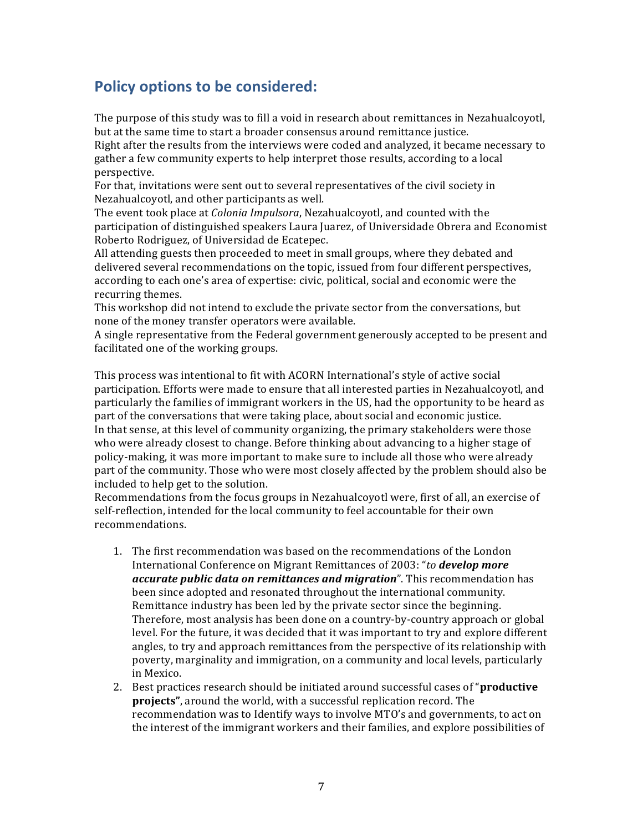## **Policy options to be considered:**

The purpose of this study was to fill a void in research about remittances in Nezahualcoyotl, but at the same time to start a broader consensus around remittance justice.

Right after the results from the interviews were coded and analyzed, it became necessary to gather a few community experts to help interpret those results, according to a local perspective.

For that, invitations were sent out to several representatives of the civil society in Nezahualcoyotl, and other participants as well.

The event took place at *Colonia Impulsora*, Nezahualcoyotl, and counted with the participation of distinguished speakers Laura Juarez, of Universidade Obrera and Economist Roberto Rodriguez, of Universidad de Ecatepec.

All attending guests then proceeded to meet in small groups, where they debated and delivered several recommendations on the topic, issued from four different perspectives, according to each one's area of expertise: civic, political, social and economic were the recurring themes.

This workshop did not intend to exclude the private sector from the conversations, but none of the money transfer operators were available.

A single representative from the Federal government generously accepted to be present and facilitated one of the working groups.

This process was intentional to fit with ACORN International's style of active social participation. Efforts were made to ensure that all interested parties in Nezahualcoyotl, and particularly the families of immigrant workers in the US, had the opportunity to be heard as part of the conversations that were taking place, about social and economic justice. In that sense, at this level of community organizing, the primary stakeholders were those who were already closest to change. Before thinking about advancing to a higher stage of policy-making, it was more important to make sure to include all those who were already part of the community. Those who were most closely affected by the problem should also be included to help get to the solution.

Recommendations from the focus groups in Nezahualcoyotl were, first of all, an exercise of self-reflection, intended for the local community to feel accountable for their own recommendations.

- 1. The first recommendation was based on the recommendations of the London International!Conference!on!Migrant!Remittances!of!2003:!"*to'develop'more'* accurate public data on remittances and migration". This recommendation has been since adopted and resonated throughout the international community. Remittance industry has been led by the private sector since the beginning. Therefore, most analysis has been done on a country-by-country approach or global level. For the future, it was decided that it was important to try and explore different angles, to try and approach remittances from the perspective of its relationship with poverty, marginality and immigration, on a community and local levels, particularly in Mexico.
- 2. Best practices research should be initiated around successful cases of "**productive projects"**, around the world, with a successful replication record. The recommendation was to Identify ways to involve MTO's and governments, to act on the interest of the immigrant workers and their families, and explore possibilities of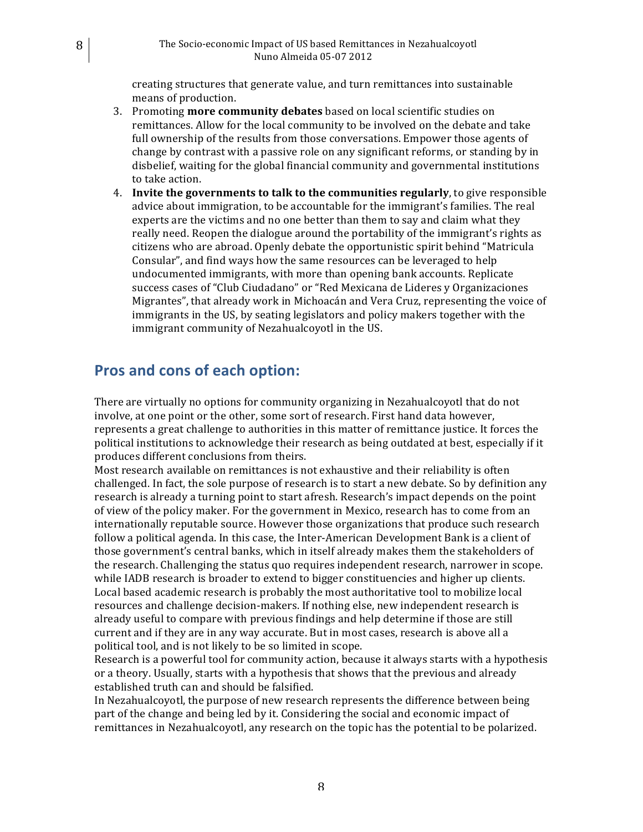creating structures that generate value, and turn remittances into sustainable means of production.

- 3. Promoting **more community debates** based on local scientific studies on remittances. Allow for the local community to be involved on the debate and take full ownership of the results from those conversations. Empower those agents of change by contrast with a passive role on any significant reforms, or standing by in disbelief, waiting for the global financial community and governmental institutions to take action.
- 4. **Invite the governments to talk to the communities regularly**, to give responsible advice about immigration, to be accountable for the immigrant's families. The real experts are the victims and no one better than them to say and claim what they really need. Reopen the dialogue around the portability of the immigrant's rights as citizens who are abroad. Openly debate the opportunistic spirit behind "Matricula" Consular", and find ways how the same resources can be leveraged to help undocumented immigrants, with more than opening bank accounts. Replicate success cases of "Club Ciudadano" or "Red Mexicana de Lideres y Organizaciones Migrantes", that already work in Michoacán and Vera Cruz, representing the voice of immigrants in the US, by seating legislators and policy makers together with the immigrant community of Nezahualcoyotl in the US.

#### **Pros and cons of each option:**

There are virtually no options for community organizing in Nezahualcoyotl that do not involve, at one point or the other, some sort of research. First hand data however, represents a great challenge to authorities in this matter of remittance justice. It forces the political institutions to acknowledge their research as being outdated at best, especially if it produces different conclusions from theirs.

Most research available on remittances is not exhaustive and their reliability is often challenged. In fact, the sole purpose of research is to start a new debate. So by definition any research is already a turning point to start afresh. Research's impact depends on the point of view of the policy maker. For the government in Mexico, research has to come from an internationally reputable source. However those organizations that produce such research follow a political agenda. In this case, the Inter-American Development Bank is a client of those government's central banks, which in itself already makes them the stakeholders of the research. Challenging the status quo requires independent research, narrower in scope. while IADB research is broader to extend to bigger constituencies and higher up clients. Local based academic research is probably the most authoritative tool to mobilize local resources and challenge decision-makers. If nothing else, new independent research is already useful to compare with previous findings and help determine if those are still current and if they are in any way accurate. But in most cases, research is above all a political tool, and is not likely to be so limited in scope.

Research is a powerful tool for community action, because it always starts with a hypothesis or a theory. Usually, starts with a hypothesis that shows that the previous and already established truth can and should be falsified.

In Nezahualcoyotl, the purpose of new research represents the difference between being part of the change and being led by it. Considering the social and economic impact of remittances in Nezahualcoyotl, any research on the topic has the potential to be polarized.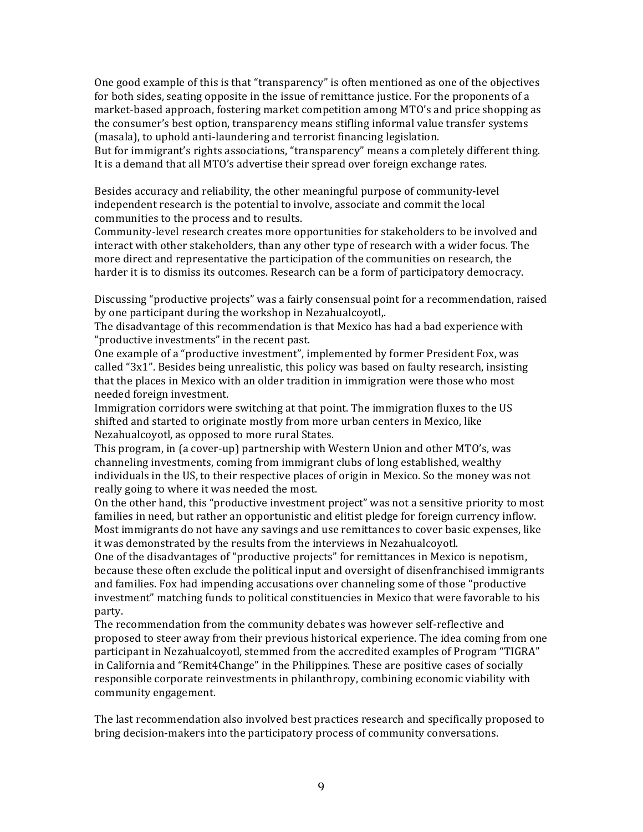One good example of this is that "transparency" is often mentioned as one of the objectives for both sides, seating opposite in the issue of remittance justice. For the proponents of a market-based approach, fostering market competition among MTO's and price shopping as the consumer's best option, transparency means stifling informal value transfer systems (masala), to uphold anti-laundering and terrorist financing legislation. But for immigrant's rights associations, "transparency" means a completely different thing.

It is a demand that all MTO's advertise their spread over foreign exchange rates.

Besides accuracy and reliability, the other meaningful purpose of community-level independent research is the potential to involve, associate and commit the local communities to the process and to results.

Community-level research creates more opportunities for stakeholders to be involved and interact with other stakeholders, than any other type of research with a wider focus. The more direct and representative the participation of the communities on research, the harder it is to dismiss its outcomes. Research can be a form of participatory democracy.

Discussing "productive projects" was a fairly consensual point for a recommendation, raised by one participant during the workshop in Nezahualcoyotl,.

The disadvantage of this recommendation is that Mexico has had a bad experience with "productive investments" in the recent past.

One example of a "productive investment", implemented by former President Fox, was called " $3x1$ ". Besides being unrealistic, this policy was based on faulty research, insisting that the places in Mexico with an older tradition in immigration were those who most needed foreign investment.

Immigration corridors were switching at that point. The immigration fluxes to the US shifted and started to originate mostly from more urban centers in Mexico, like Nezahualcoyotl, as opposed to more rural States.

This program, in (a cover-up) partnership with Western Union and other MTO's, was channeling investments, coming from immigrant clubs of long established, wealthy individuals in the US, to their respective places of origin in Mexico. So the money was not really going to where it was needed the most.

On the other hand, this "productive investment project" was not a sensitive priority to most families in need, but rather an opportunistic and elitist pledge for foreign currency inflow. Most immigrants do not have any savings and use remittances to cover basic expenses, like it was demonstrated by the results from the interviews in Nezahualcoyotl.

One of the disadvantages of "productive projects" for remittances in Mexico is nepotism, because these often exclude the political input and oversight of disenfranchised immigrants and families. Fox had impending accusations over channeling some of those "productive investment" matching funds to political constituencies in Mexico that were favorable to his party.

The recommendation from the community debates was however self-reflective and proposed to steer away from their previous historical experience. The idea coming from one participant in Nezahualcoyotl, stemmed from the accredited examples of Program "TIGRA" in California and "Remit4Change" in the Philippines. These are positive cases of socially responsible corporate reinvestments in philanthropy, combining economic viability with community engagement.

The last recommendation also involved best practices research and specifically proposed to bring decision-makers into the participatory process of community conversations.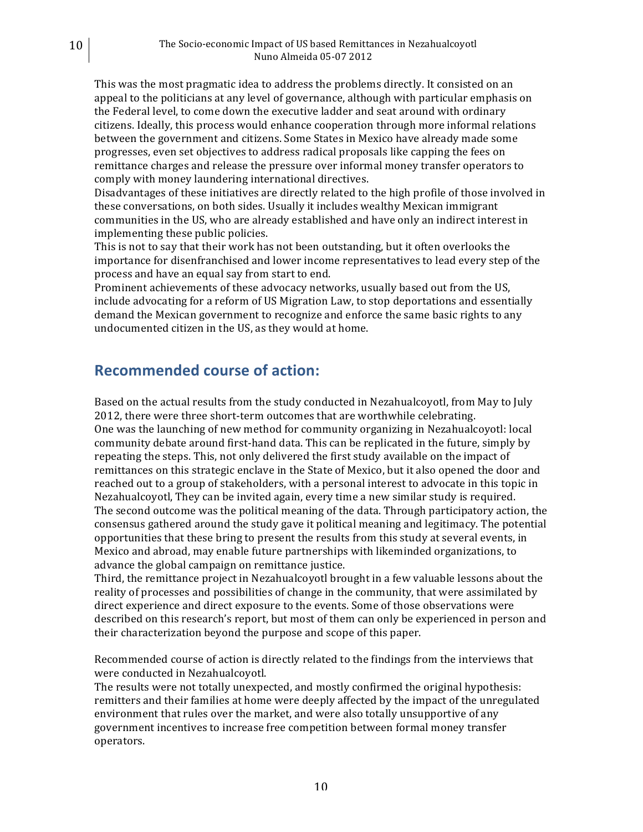This was the most pragmatic idea to address the problems directly. It consisted on an appeal to the politicians at any level of governance, although with particular emphasis on the Federal level, to come down the executive ladder and seat around with ordinary citizens. Ideally, this process would enhance cooperation through more informal relations between the government and citizens. Some States in Mexico have already made some progresses, even set objectives to address radical proposals like capping the fees on remittance charges and release the pressure over informal money transfer operators to comply with money laundering international directives.

Disadvantages of these initiatives are directly related to the high profile of those involved in these conversations, on both sides. Usually it includes wealthy Mexican immigrant communities in the US, who are already established and have only an indirect interest in implementing these public policies.

This is not to say that their work has not been outstanding, but it often overlooks the importance for disenfranchised and lower income representatives to lead every step of the process and have an equal say from start to end.

Prominent achievements of these advocacy networks, usually based out from the US, include advocating for a reform of US Migration Law, to stop deportations and essentially demand the Mexican government to recognize and enforce the same basic rights to any undocumented citizen in the US, as they would at home.

#### **Recommended course of action:**

Based on the actual results from the study conducted in Nezahualcoyotl, from May to July 2012, there were three short-term outcomes that are worthwhile celebrating. One was the launching of new method for community organizing in Nezahualcoyotl: local community debate around first-hand data. This can be replicated in the future, simply by repeating the steps. This, not only delivered the first study available on the impact of remittances on this strategic enclave in the State of Mexico, but it also opened the door and reached out to a group of stakeholders, with a personal interest to advocate in this topic in Nezahualcoyotl, They can be invited again, every time a new similar study is required. The second outcome was the political meaning of the data. Through participatory action, the consensus gathered around the study gave it political meaning and legitimacy. The potential opportunities that these bring to present the results from this study at several events, in Mexico and abroad, may enable future partnerships with likeminded organizations, to advance the global campaign on remittance justice.

Third, the remittance project in Nezahualcoyotl brought in a few valuable lessons about the reality of processes and possibilities of change in the community, that were assimilated by direct experience and direct exposure to the events. Some of those observations were described on this research's report, but most of them can only be experienced in person and their characterization beyond the purpose and scope of this paper.

Recommended course of action is directly related to the findings from the interviews that were conducted in Nezahualcoyotl.

The results were not totally unexpected, and mostly confirmed the original hypothesis: remitters and their families at home were deeply affected by the impact of the unregulated environment that rules over the market, and were also totally unsupportive of any government incentives to increase free competition between formal money transfer operators.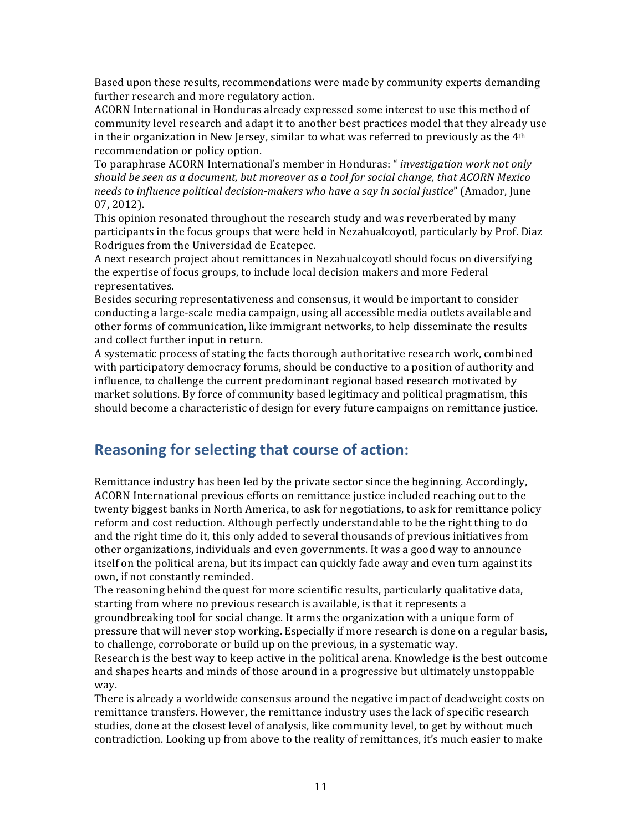Based upon these results, recommendations were made by community experts demanding further research and more regulatory action.

ACORN International in Honduras already expressed some interest to use this method of community level research and adapt it to another best practices model that they already use in their organization in New Jersey, similar to what was referred to previously as the  $4<sup>th</sup>$ recommendation or policy option.

To paraphrase ACORN International's member in Honduras: "*investigation work not only should'be'seen'as'a'document,'but'moreover'as'a'tool'for'social'change,'that'ACORN'Mexico'* needs to influence political decision-makers who have a say in social justice" (Amador, June 07, 2012).

This opinion resonated throughout the research study and was reverberated by many participants in the focus groups that were held in Nezahualcoyotl, particularly by Prof. Diaz Rodrigues from the Universidad de Ecatepec.

A next research project about remittances in Nezahualcoyotl should focus on diversifying the expertise of focus groups, to include local decision makers and more Federal representatives.

Besides securing representativeness and consensus, it would be important to consider conducting a large-scale media campaign, using all accessible media outlets available and other forms of communication, like immigrant networks, to help disseminate the results and collect further input in return.

A systematic process of stating the facts thorough authoritative research work, combined with participatory democracy forums, should be conductive to a position of authority and influence, to challenge the current predominant regional based research motivated by market solutions. By force of community based legitimacy and political pragmatism, this should become a characteristic of design for every future campaigns on remittance justice.

### **Reasoning for selecting that course of action:**

Remittance industry has been led by the private sector since the beginning. Accordingly, ACORN International previous efforts on remittance justice included reaching out to the twenty biggest banks in North America, to ask for negotiations, to ask for remittance policy reform and cost reduction. Although perfectly understandable to be the right thing to do and the right time do it, this only added to several thousands of previous initiatives from other organizations, individuals and even governments. It was a good way to announce itself on the political arena, but its impact can quickly fade away and even turn against its own, if not constantly reminded.

The reasoning behind the quest for more scientific results, particularly qualitative data, starting from where no previous research is available, is that it represents a

groundbreaking tool for social change. It arms the organization with a unique form of pressure that will never stop working. Especially if more research is done on a regular basis, to challenge, corroborate or build up on the previous, in a systematic way.

Research is the best way to keep active in the political arena. Knowledge is the best outcome and shapes hearts and minds of those around in a progressive but ultimately unstoppable way.

There is already a worldwide consensus around the negative impact of deadweight costs on remittance transfers. However, the remittance industry uses the lack of specific research studies, done at the closest level of analysis, like community level, to get by without much contradiction. Looking up from above to the reality of remittances, it's much easier to make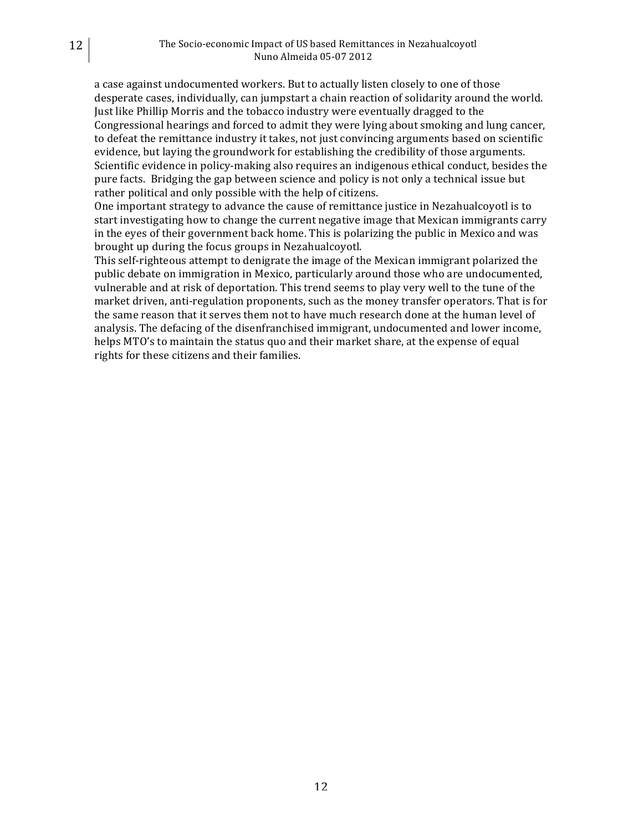a case against undocumented workers. But to actually listen closely to one of those desperate cases, individually, can jumpstart a chain reaction of solidarity around the world. Just like Phillip Morris and the tobacco industry were eventually dragged to the Congressional hearings and forced to admit they were lying about smoking and lung cancer, to defeat the remittance industry it takes, not just convincing arguments based on scientific evidence, but laying the groundwork for establishing the credibility of those arguments. Scientific evidence in policy-making also requires an indigenous ethical conduct, besides the pure facts. Bridging the gap between science and policy is not only a technical issue but rather political and only possible with the help of citizens.

One important strategy to advance the cause of remittance justice in Nezahualcoyotl is to start investigating how to change the current negative image that Mexican immigrants carry in the eyes of their government back home. This is polarizing the public in Mexico and was brought up during the focus groups in Nezahualcoyotl.

This self-righteous attempt to denigrate the image of the Mexican immigrant polarized the public debate on immigration in Mexico, particularly around those who are undocumented, vulnerable and at risk of deportation. This trend seems to play very well to the tune of the market driven, anti-regulation proponents, such as the money transfer operators. That is for the same reason that it serves them not to have much research done at the human level of analysis. The defacing of the disenfranchised immigrant, undocumented and lower income, helps MTO's to maintain the status quo and their market share, at the expense of equal rights for these citizens and their families.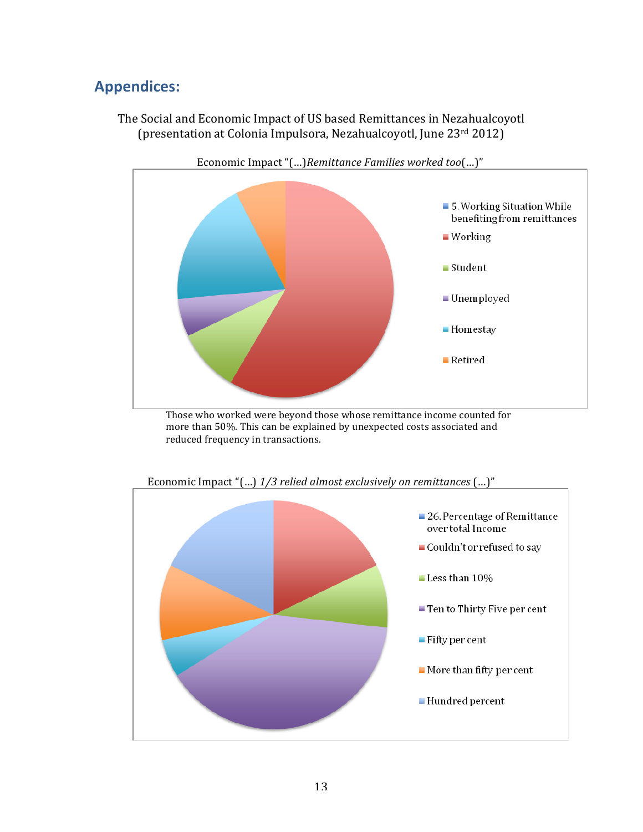# **Appendices:**

The Social and Economic Impact of US based Remittances in Nezahualcoyotl (presentation at Colonia Impulsora, Nezahualcoyotl, June 23rd 2012)



Those who worked were beyond those whose remittance income counted for more than 50%. This can be explained by unexpected costs associated and reduced frequency in transactions.



Economic Impact "(...) 1/3 relied almost exclusively on remittances (...)"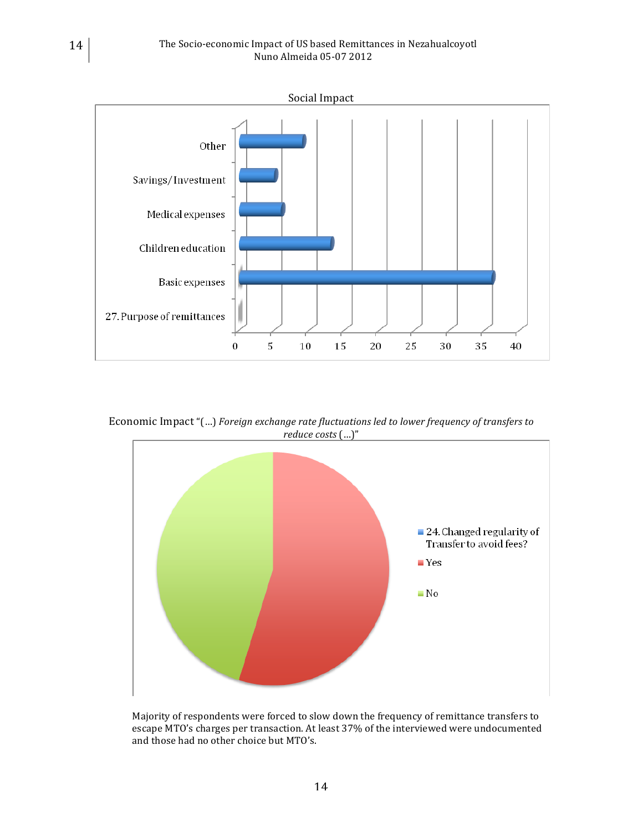

Economic Impact "(...) *Foreign exchange rate fluctuations led to lower frequency of transfers to reduce'costs* (…)"



Majority of respondents were forced to slow down the frequency of remittance transfers to escape MTO's charges per transaction. At least 37% of the interviewed were undocumented and those had no other choice but MTO's.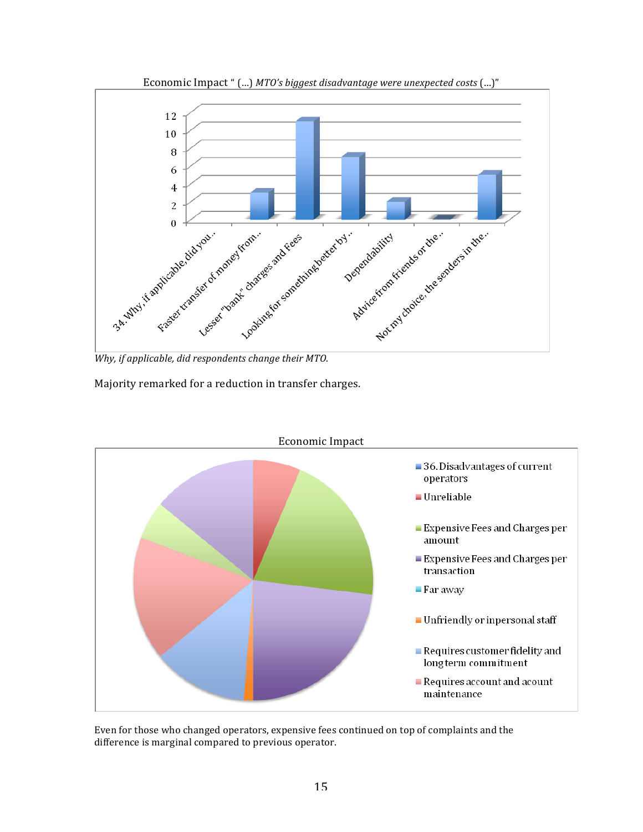

Economic Impact " (...) *MTO's biggest disadvantage were unexpected costs* (...)"

Majority remarked for a reduction in transfer charges.



Even for those who changed operators, expensive fees continued on top of complaints and the difference is marginal compared to previous operator.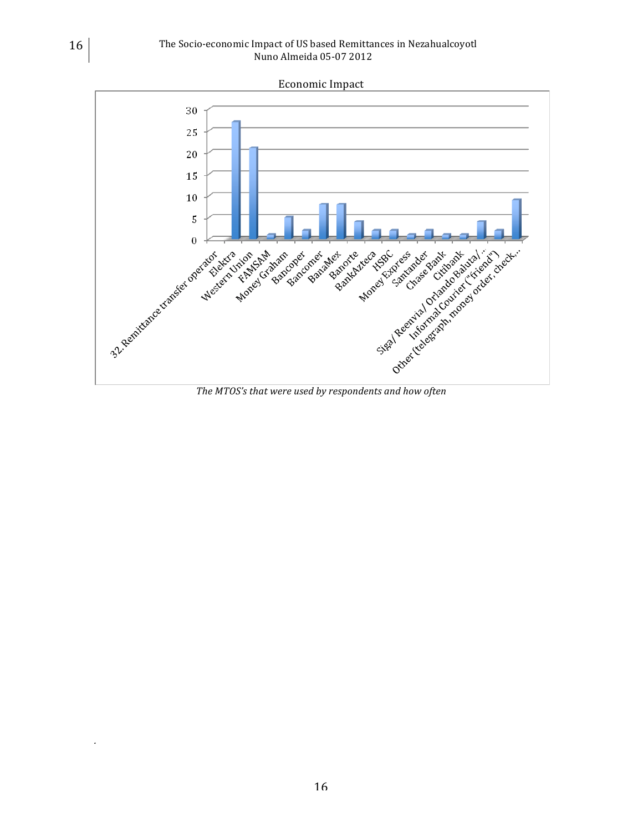

*.*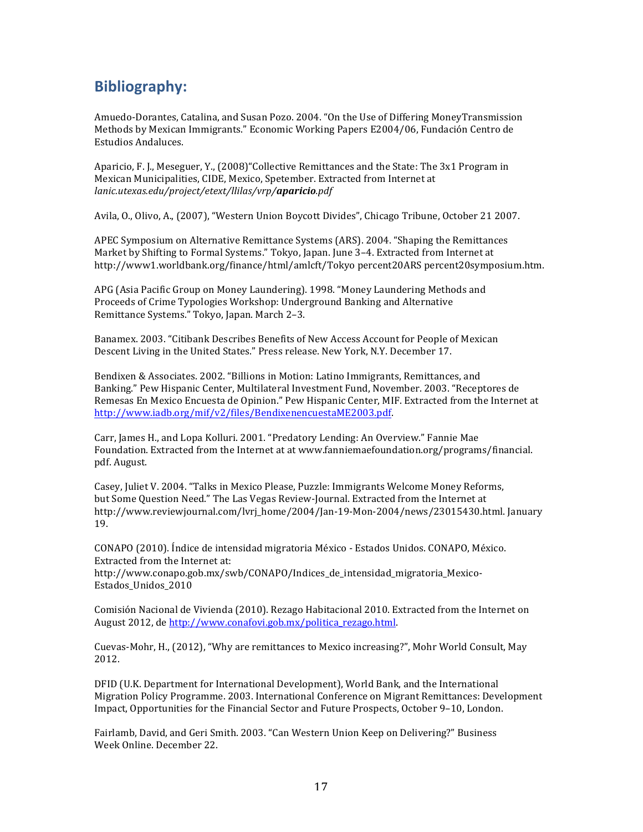## **Bibliography:**

Amuedo-Dorantes, Catalina, and Susan Pozo. 2004. "On the Use of Differing MoneyTransmission Methods by Mexican Immigrants." Economic Working Papers E2004/06, Fundación Centro de Estudios Andaluces.

Aparicio, F. J., Meseguer, Y., (2008) "Collective Remittances and the State: The 3x1 Program in Mexican Municipalities, CIDE, Mexico, Spetember. Extracted from Internet at *lanic.utexas.edu/project/etext/llilas/vrp/aparicio.pdf*

Avila, O., Olivo, A., (2007), "Western Union Boycott Divides", Chicago Tribune, October 21 2007.

APEC Symposium on Alternative Remittance Systems (ARS). 2004. "Shaping the Remittances Market by Shifting to Formal Systems." Tokyo, Japan. June 3–4. Extracted from Internet at http://www1.worldbank.org/finance/html/amlcft/Tokyo percent20ARS percent20symposium.htm.

APG (Asia Pacific Group on Money Laundering). 1998. "Money Laundering Methods and Proceeds of Crime Typologies Workshop: Underground Banking and Alternative Remittance Systems." Tokyo, Japan. March 2-3.

Banamex. 2003. "Citibank Describes Benefits of New Access Account for People of Mexican Descent Living in the United States." Press release. New York, N.Y. December 17.

Bendixen & Associates. 2002. "Billions in Motion: Latino Immigrants, Remittances, and Banking." Pew Hispanic Center, Multilateral Investment Fund, November. 2003. "Receptores de Remesas En Mexico Encuesta de Opinion." Pew Hispanic Center, MIF. Extracted from the Internet at http://www.iadb.org/mif/v2/files/BendixenencuestaME2003.pdf.

Carr, James H., and Lopa Kolluri. 2001. "Predatory Lending: An Overview." Fannie Mae Foundation. Extracted from the Internet at at www.fanniemaefoundation.org/programs/financial. pdf. August.

Casey, Juliet V. 2004. "Talks in Mexico Please, Puzzle: Immigrants Welcome Money Reforms, but Some Question Need." The Las Vegas Review-Journal. Extracted from the Internet at http://www.reviewjournal.com/lvrj\_home/2004/Jan-19-Mon-2004/news/23015430.html. January 19.

CONAPO (2010). Índice de intensidad migratoria México - Estados Unidos. CONAPO, México. Extracted from the Internet at: http://www.conapo.gob.mx/swb/CONAPO/Indices\_de\_intensidad\_migratoria\_Mexico3 Estados\_Unidos\_2010

Comisión Nacional de Vivienda (2010). Rezago Habitacional 2010. Extracted from the Internet on August 2012, de http://www.conafovi.gob.mx/politica\_rezago.html.

Cuevas-Mohr, H., (2012), "Why are remittances to Mexico increasing?", Mohr World Consult, May 2012.

DFID (U.K. Department for International Development), World Bank, and the International Migration Policy Programme. 2003. International Conference on Migrant Remittances: Development Impact, Opportunities for the Financial Sector and Future Prospects, October 9–10, London.

Fairlamb, David, and Geri Smith. 2003. "Can Western Union Keep on Delivering?" Business Week Online. December 22.